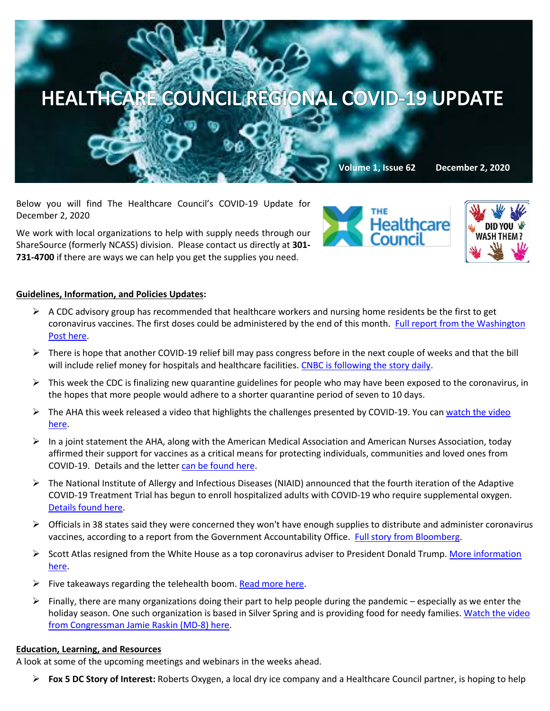

Below you will find The Healthcare Council's COVID-19 Update for December 2, 2020

We work with local organizations to help with supply needs through our ShareSource (formerly NCASS) division. Please contact us directly at **301- 731-4700** if there are ways we can help you get the supplies you need.





## **Guidelines, Information, and Policies Updates:**

- $\triangleright$  A CDC advisory group has recommended that healthcare workers and nursing home residents be the first to get coronavirus vaccines. The first doses could be administered by the end of this month. [Full report from the Washington](https://www.washingtonpost.com/health/2020/12/01/vaccine-priority-groups-covid/)  [Post here.](https://www.washingtonpost.com/health/2020/12/01/vaccine-priority-groups-covid/)
- $\triangleright$  There is hope that another COVID-19 relief bill may pass congress before in the next couple of weeks and that the bill will include relief money for hospitals and healthcare facilities[. CNBC is following the story daily.](https://www.cnbc.com/2020/12/01/coronavirus-stimulus-update-senators-to-unveil-relief-bill.html)
- $\triangleright$  This week the CDC is finalizing new quarantine guidelines for people who may have been exposed to the coronavirus, in the hopes that more people would adhere to a shorter quarantine period of seven to 10 days.
- $\triangleright$  The AHA this week released a video that highlights the challenges presented by COVID-19. You can watch the video [here.](https://www.youtube.com/watch?v=ii3vCdcfxKg&feature=youtu.be)
- $\triangleright$  In a joint statement the AHA, along with the American Medical Association and American Nurses Association, today affirmed their support for vaccines as a critical means for protecting individuals, communities and loved ones from COVID-19. Details and the letter [can be found here.](https://contentsharing.net/actions/email_web_version.cfm?ep=Bdhtp-zVuqFkgQiV6-lxty0f-nrLBJWzuTngPvD-5dU57kNWy1oUiKCpPdGnH3tcXC69LHbUqqPMLDQ7ub2Q7sLJJIkDkV-awXmHmAWrwAmteDg0MON_havHC8pMZv2-)
- $\triangleright$  The National Institute of Allergy and Infectious Diseases (NIAID) announced that the fourth iteration of the Adaptive COVID-19 Treatment Trial has begun to enroll hospitalized adults with COVID-19 who require supplemental oxygen. [Details found here.](https://www.nih.gov/news-events/news-releases/fourth-iteration-covid-19-treatment-trial-underway)
- $\triangleright$  Officials in 38 states said they were concerned they won't have enough supplies to distribute and administer coronavirus vaccines, according to a report from the Government Accountability Office. [Full story from Bloomberg.](https://www.bloomberg.com/news/articles/2020-11-30/states-fear-shortfall-of-supplies-for-vaccine-rollout-gao-says?mkt_tok=eyJpIjoiTVdRNE9XSTFaamxrT1RFeiIsInQiOiJQbXNxb1RGTWpSWmlMUlpqWTA0clpNWGZmeHVsaWszMjVaRyt1UG9sUERxbk9nTGpzdTJjRHpsQ0V3Yk42UXQ3T0hqOFlWT3dXaWE1RUkybThcL1Vja0dTYm93UWwzb2pYSUs2R1ZnT2g5VHMxaW1qMWZSbzBEMVRBeHlcL1VVcWx5In0=)
- $\triangleright$  Scott Atlas resigned from the White House as a top coronavirus adviser to President Donald Trump. More information [here.](https://www.politico.com/news/2020/11/30/scott-atlas-resigns-trump-adviser-441597?mkt_tok=eyJpIjoiT1RSbU5XRm1OV1JpTldVMCIsInQiOiJGcFwvVUQ5emtnSGoyZ2ZrWWFnR2w3SFJZQkRFMElUbmdET3ZiZmxUN1hYVHh0eTRTb3VDeFFvVEVFcVllWHV6dllCMk9STEJWNXVTME5BdGpScGw2N0VRV2c3eUY2emhzVUorcjhcLytFVGorNm5yVDFJa0dtVXkxYzFHYzVqREwzIn0=)
- $\triangleright$  Five takeaways regarding the telehealth boom[. Read more here.](https://www.managedhealthcareexecutive.com/view/5-takeaways-about-the-telehealth-boom?utm_source=sfmc&utm_medium=email&utm_campaign=11.27.2020_MHE_eNL_Unsponsored&eKey=bHBpdHRvbkBoZWFsdGhjYXJlLWNvdW5jaWwub3Jn)
- $\triangleright$  Finally, there are many organizations doing their part to help people during the pandemic especially as we enter the holiday season. One such organization is based in Silver Spring and is providing food for needy families[. Watch the video](https://www.youtube.com/watch?v=EmOi3y3T30k&feature=emb_logo)  [from Congressman Jamie Raskin \(MD-8\) here.](https://www.youtube.com/watch?v=EmOi3y3T30k&feature=emb_logo)

## **Education, Learning, and Resources**

A look at some of the upcoming meetings and webinars in the weeks ahead.

**Fox 5 DC Story of Interest:** Roberts Oxygen, a local dry ice company and a Healthcare Council partner, is hoping to help